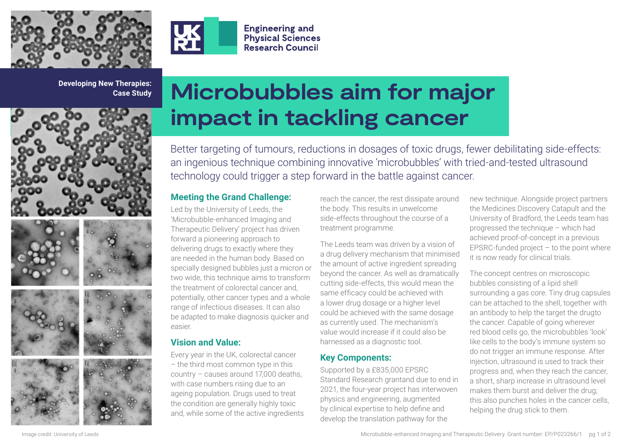



**Engineering and Physical Sciences Research Council** 

**Developing New Therapies: Case Study**



# **Microbubbles aim for major impact in tackling cancer**

Better targeting of tumours, reductions in dosages of toxic drugs, fewer debilitating side-effects: an ingenious technique combining innovative 'microbubbles' with tried-and-tested ultrasound technology could trigger a step forward in the battle against cancer.

## **Meeting the Grand Challenge:**

Led by the University of Leeds, the 'Microbubble-enhanced Imaging and Therapeutic Delivery' project has driven forward a pioneering approach to delivering drugs to exactly where they are needed in the human body. Based on specially designed bubbles just a micron or two wide, this technique aims to transform the treatment of colorectal cancer and, potentially, other cancer types and a whole range of infectious diseases. It can also be adapted to make diagnosis quicker and easier.

# **Vision and Value:**

Every year in the UK, colorectal cancer – the third most common type in this country – causes around 17,000 deaths, with case numbers rising due to an ageing population. Drugs used to treat the condition are generally highly toxic and, while some of the active ingredients reach the cancer, the rest dissipate around the body. This results in unwelcome side-effects throughout the course of a treatment programme.

The Leeds team was driven by a vision of a drug delivery mechanism that minimised the amount of active ingredient spreading beyond the cancer. As well as dramatically cutting side-effects, this would mean the same efficacy could be achieved with a lower drug dosage or a higher level could be achieved with the same dosage as currently used. The mechanism's value would increase if it could also be harnessed as a diagnostic tool.

## **Key Components:**

Supported by a £835,000 EPSRC Standard Research grantand due to end in 2021, the four-year project has interwoven physics and engineering, augmented by clinical expertise to help define and develop the translation pathway for the

new technique. Alongside project partners the Medicines Discovery Catapult and the University of Bradford, the Leeds team has progressed the technique – which had achieved proof-of-concept in a previous  $EPSRC$ -funded project  $-$  to the point where it is now ready for clinical trials.

The concept centres on microscopic bubbles consisting of a lipid shell surrounding a gas core. Tiny drug capsules can be attached to the shell, together with an antibody to help the target the drugto the cancer. Capable of going wherever red blood cells go, the microbubbles 'look' like cells to the body's immune system so do not trigger an immune response. After injection, ultrasound is used to track their progress and, when they reach the cancer, a short, sharp increase in ultrasound level makes them burst and deliver the drug; this also punches holes in the cancer cells, helping the drug stick to them.